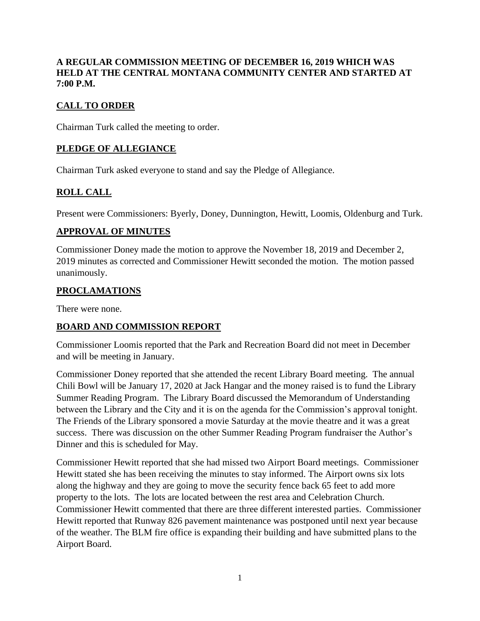# **A REGULAR COMMISSION MEETING OF DECEMBER 16, 2019 WHICH WAS HELD AT THE CENTRAL MONTANA COMMUNITY CENTER AND STARTED AT 7:00 P.M.**

# **CALL TO ORDER**

Chairman Turk called the meeting to order.

# **PLEDGE OF ALLEGIANCE**

Chairman Turk asked everyone to stand and say the Pledge of Allegiance.

# **ROLL CALL**

Present were Commissioners: Byerly, Doney, Dunnington, Hewitt, Loomis, Oldenburg and Turk.

#### **APPROVAL OF MINUTES**

Commissioner Doney made the motion to approve the November 18, 2019 and December 2, 2019 minutes as corrected and Commissioner Hewitt seconded the motion. The motion passed unanimously.

## **PROCLAMATIONS**

There were none.

# **BOARD AND COMMISSION REPORT**

Commissioner Loomis reported that the Park and Recreation Board did not meet in December and will be meeting in January.

Commissioner Doney reported that she attended the recent Library Board meeting. The annual Chili Bowl will be January 17, 2020 at Jack Hangar and the money raised is to fund the Library Summer Reading Program. The Library Board discussed the Memorandum of Understanding between the Library and the City and it is on the agenda for the Commission's approval tonight. The Friends of the Library sponsored a movie Saturday at the movie theatre and it was a great success. There was discussion on the other Summer Reading Program fundraiser the Author's Dinner and this is scheduled for May.

Commissioner Hewitt reported that she had missed two Airport Board meetings. Commissioner Hewitt stated she has been receiving the minutes to stay informed. The Airport owns six lots along the highway and they are going to move the security fence back 65 feet to add more property to the lots. The lots are located between the rest area and Celebration Church. Commissioner Hewitt commented that there are three different interested parties. Commissioner Hewitt reported that Runway 826 pavement maintenance was postponed until next year because of the weather. The BLM fire office is expanding their building and have submitted plans to the Airport Board.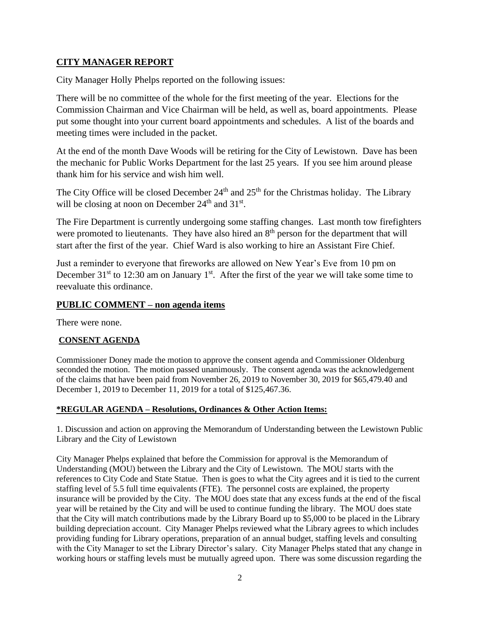# **CITY MANAGER REPORT**

City Manager Holly Phelps reported on the following issues:

There will be no committee of the whole for the first meeting of the year. Elections for the Commission Chairman and Vice Chairman will be held, as well as, board appointments. Please put some thought into your current board appointments and schedules. A list of the boards and meeting times were included in the packet.

At the end of the month Dave Woods will be retiring for the City of Lewistown. Dave has been the mechanic for Public Works Department for the last 25 years. If you see him around please thank him for his service and wish him well.

The City Office will be closed December  $24<sup>th</sup>$  and  $25<sup>th</sup>$  for the Christmas holiday. The Library will be closing at noon on December  $24<sup>th</sup>$  and  $31<sup>st</sup>$ .

The Fire Department is currently undergoing some staffing changes. Last month tow firefighters were promoted to lieutenants. They have also hired an  $8<sup>th</sup>$  person for the department that will start after the first of the year. Chief Ward is also working to hire an Assistant Fire Chief.

Just a reminder to everyone that fireworks are allowed on New Year's Eve from 10 pm on December  $31<sup>st</sup>$  to 12:30 am on January 1<sup>st</sup>. After the first of the year we will take some time to reevaluate this ordinance.

## **PUBLIC COMMENT – non agenda items**

There were none.

## **CONSENT AGENDA**

Commissioner Doney made the motion to approve the consent agenda and Commissioner Oldenburg seconded the motion. The motion passed unanimously. The consent agenda was the acknowledgement of the claims that have been paid from November 26, 2019 to November 30, 2019 for \$65,479.40 and December 1, 2019 to December 11, 2019 for a total of \$125,467.36.

## **\*REGULAR AGENDA – Resolutions, Ordinances & Other Action Items:**

1. Discussion and action on approving the Memorandum of Understanding between the Lewistown Public Library and the City of Lewistown

City Manager Phelps explained that before the Commission for approval is the Memorandum of Understanding (MOU) between the Library and the City of Lewistown. The MOU starts with the references to City Code and State Statue. Then is goes to what the City agrees and it is tied to the current staffing level of 5.5 full time equivalents (FTE). The personnel costs are explained, the property insurance will be provided by the City. The MOU does state that any excess funds at the end of the fiscal year will be retained by the City and will be used to continue funding the library. The MOU does state that the City will match contributions made by the Library Board up to \$5,000 to be placed in the Library building depreciation account. City Manager Phelps reviewed what the Library agrees to which includes providing funding for Library operations, preparation of an annual budget, staffing levels and consulting with the City Manager to set the Library Director's salary. City Manager Phelps stated that any change in working hours or staffing levels must be mutually agreed upon. There was some discussion regarding the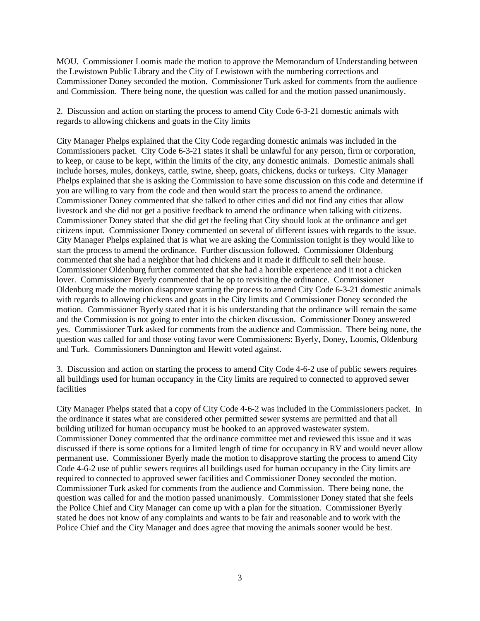MOU. Commissioner Loomis made the motion to approve the Memorandum of Understanding between the Lewistown Public Library and the City of Lewistown with the numbering corrections and Commissioner Doney seconded the motion. Commissioner Turk asked for comments from the audience and Commission. There being none, the question was called for and the motion passed unanimously.

2. Discussion and action on starting the process to amend City Code 6-3-21 domestic animals with regards to allowing chickens and goats in the City limits

City Manager Phelps explained that the City Code regarding domestic animals was included in the Commissioners packet. City Code 6-3-21 states it shall be unlawful for any person, firm or corporation, to keep, or cause to be kept, within the limits of the city, any domestic animals. Domestic animals shall include horses, mules, donkeys, cattle, swine, sheep, goats, chickens, ducks or turkeys. City Manager Phelps explained that she is asking the Commission to have some discussion on this code and determine if you are willing to vary from the code and then would start the process to amend the ordinance. Commissioner Doney commented that she talked to other cities and did not find any cities that allow livestock and she did not get a positive feedback to amend the ordinance when talking with citizens. Commissioner Doney stated that she did get the feeling that City should look at the ordinance and get citizens input. Commissioner Doney commented on several of different issues with regards to the issue. City Manager Phelps explained that is what we are asking the Commission tonight is they would like to start the process to amend the ordinance. Further discussion followed. Commissioner Oldenburg commented that she had a neighbor that had chickens and it made it difficult to sell their house. Commissioner Oldenburg further commented that she had a horrible experience and it not a chicken lover. Commissioner Byerly commented that he op to revisiting the ordinance. Commissioner Oldenburg made the motion disapprove starting the process to amend City Code 6-3-21 domestic animals with regards to allowing chickens and goats in the City limits and Commissioner Doney seconded the motion. Commissioner Byerly stated that it is his understanding that the ordinance will remain the same and the Commission is not going to enter into the chicken discussion. Commissioner Doney answered yes. Commissioner Turk asked for comments from the audience and Commission. There being none, the question was called for and those voting favor were Commissioners: Byerly, Doney, Loomis, Oldenburg and Turk. Commissioners Dunnington and Hewitt voted against.

3. Discussion and action on starting the process to amend City Code 4-6-2 use of public sewers requires all buildings used for human occupancy in the City limits are required to connected to approved sewer facilities

City Manager Phelps stated that a copy of City Code 4-6-2 was included in the Commissioners packet. In the ordinance it states what are considered other permitted sewer systems are permitted and that all building utilized for human occupancy must be hooked to an approved wastewater system. Commissioner Doney commented that the ordinance committee met and reviewed this issue and it was discussed if there is some options for a limited length of time for occupancy in RV and would never allow permanent use. Commissioner Byerly made the motion to disapprove starting the process to amend City Code 4-6-2 use of public sewers requires all buildings used for human occupancy in the City limits are required to connected to approved sewer facilities and Commissioner Doney seconded the motion. Commissioner Turk asked for comments from the audience and Commission. There being none, the question was called for and the motion passed unanimously. Commissioner Doney stated that she feels the Police Chief and City Manager can come up with a plan for the situation. Commissioner Byerly stated he does not know of any complaints and wants to be fair and reasonable and to work with the Police Chief and the City Manager and does agree that moving the animals sooner would be best.